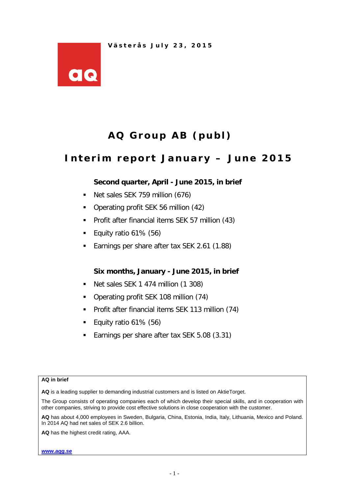

# **AQ Group AB (publ)**

# **Interim report January – June 201 5**

# **Second quarter, April - June 2015, in brief**

- Net sales SEK 759 million (676)
- Operating profit SEK 56 million (42)
- **Profit after financial items SEK 57 million (43)**
- Equity ratio  $61\%$  (56)
- Earnings per share after tax SEK 2.61 (1.88)

# **Six months, January - June 2015, in brief**

- Net sales SEK 1 474 million (1 308)
- Operating profit SEK 108 million (74)
- Profit after financial items SEK 113 million (74)
- Equity ratio  $61\%$  (56)
- Earnings per share after tax SEK 5.08 (3.31)

#### **AQ in brief**

**AQ** is a leading supplier to demanding industrial customers and is listed on AktieTorget.

The Group consists of operating companies each of which develop their special skills, and in cooperation with other companies, striving to provide cost effective solutions in close cooperation with the customer.

**AQ** has about 4,000 employees in Sweden, Bulgaria, China, Estonia, India, Italy, Lithuania, Mexico and Poland. In 2014 AQ had net sales of SEK 2.6 billion.

**AQ** has the highest credit rating, AAA.

*[www.aqg.se](http://www.aqg.se/)*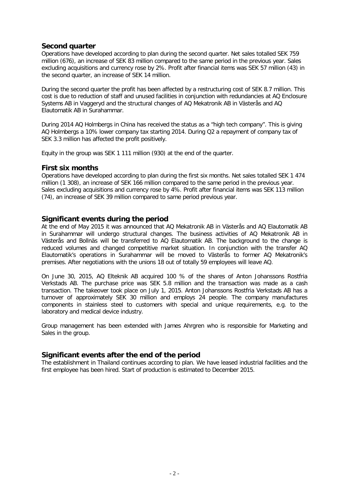#### **Second quarter**

Operations have developed according to plan during the second quarter. Net sales totalled SEK 759 million (676), an increase of SEK 83 million compared to the same period in the previous year. Sales excluding acquisitions and currency rose by 2%. Profit after financial items was SEK 57 million (43) in the second quarter, an increase of SEK 14 million.

During the second quarter the profit has been affected by a restructuring cost of SEK 8.7 million. This cost is due to reduction of staff and unused facilities in conjunction with redundancies at AQ Enclosure Systems AB in Vaggeryd and the structural changes of AQ Mekatronik AB in Västerås and AQ Elautomatik AB in Surahammar.

During 2014 AQ Holmbergs in China has received the status as a "high tech company". This is giving AQ Holmbergs a 10% lower company tax starting 2014. During Q2 a repayment of company tax of SEK 3.3 million has affected the profit positively.

Equity in the group was SEK 1 111 million (930) at the end of the quarter.

#### **First six months**

Operations have developed according to plan during the first six months. Net sales totalled SEK 1 474 million (1 308), an increase of SEK 166 million compared to the same period in the previous year. Sales excluding acquisitions and currency rose by 4%. Profit after financial items was SEK 113 million (74), an increase of SEK 39 million compared to same period previous year.

#### **Significant events during the period**

At the end of May 2015 it was announced that AQ Mekatronik AB in Västerås and AQ Elautomatik AB in Surahammar will undergo structural changes. The business activities of AQ Mekatronik AB in Västerås and Bollnäs will be transferred to AQ Elautomatik AB. The background to the change is reduced volumes and changed competitive market situation. In conjunction with the transfer AQ Elautomatik's operations in Surahammar will be moved to Västerås to former AQ Mekatronik's premises. After negotiations with the unions 18 out of totally 59 employees will leave AQ.

On June 30, 2015, AQ Elteknik AB acquired 100 % of the shares of Anton Johanssons Rostfria Verkstads AB. The purchase price was SEK 5.8 million and the transaction was made as a cash transaction. The takeover took place on July 1, 2015. Anton Johanssons Rostfria Verkstads AB has a turnover of approximately SEK 30 million and employs 24 people. The company manufactures components in stainless steel to customers with special and unique requirements, e.g. to the laboratory and medical device industry.

Group management has been extended with James Ahrgren who is responsible for Marketing and Sales in the group.

# **Significant events after the end of the period**

The establishment in Thailand continues according to plan. We have leased industrial facilities and the first employee has been hired. Start of production is estimated to December 2015.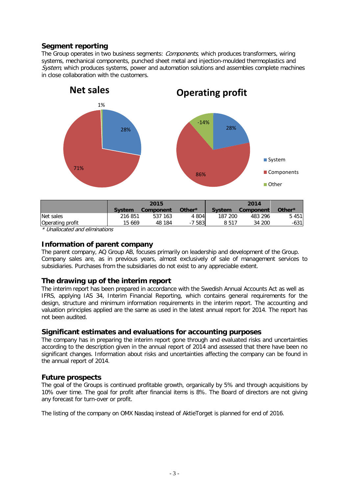# **Segment reporting**

The Group operates in two business segments: Components, which produces transformers, wiring systems, mechanical components, punched sheet metal and injection-moulded thermoplastics and System, which produces systems, power and automation solutions and assembles complete machines in close collaboration with the customers.



|               | 2015      |                |               |         |                          |
|---------------|-----------|----------------|---------------|---------|--------------------------|
| <b>System</b> | Component | Other*         | <b>System</b> |         | Other*                   |
| 216 851       | 537 163   | 4 804          |               | 483 296 | 5 4 5 1                  |
| 15 669        | 48 184    | $-7583$<br>- 1 | 8 5 1 7       | 34 200  | $-631$                   |
|               |           |                |               | 187 200 | 2014<br><b>Component</b> |

\* Unallocated and eliminations

#### **Information of parent company**

The parent company, AQ Group AB, focuses primarily on leadership and development of the Group. Company sales are, as in previous years, almost exclusively of sale of management services to subsidiaries. Purchases from the subsidiaries do not exist to any appreciable extent.

#### **The drawing up of the interim report**

The interim report has been prepared in accordance with the Swedish Annual Accounts Act as well as IFRS, applying IAS 34, Interim Financial Reporting, which contains general requirements for the design, structure and minimum information requirements in the interim report. The accounting and valuation principles applied are the same as used in the latest annual report for 2014. The report has not been audited.

#### **Significant estimates and evaluations for accounting purposes**

The company has in preparing the interim report gone through and evaluated risks and uncertainties according to the description given in the annual report of 2014 and assessed that there have been no significant changes. Information about risks and uncertainties affecting the company can be found in the annual report of 2014.

#### **Future prospects**

The goal of the Groups is continued profitable growth, organically by 5% and through acquisitions by 10% over time. The goal for profit after financial items is 8%. The Board of directors are not giving any forecast for turn-over or profit.

The listing of the company on OMX Nasdaq instead of AktieTorget is planned for end of 2016.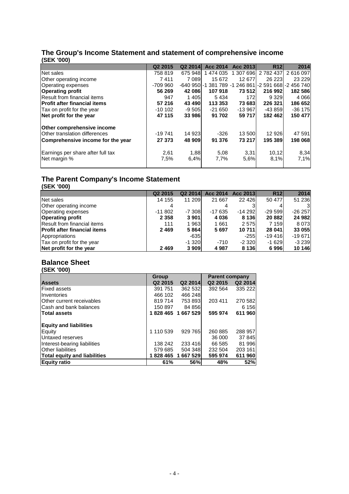#### **The Group's Income Statement and statement of comprehensive income (SEK '000)**

|                                      | Q <sub>2</sub> 2015 | Q <sub>2</sub> 2014 | Acc 2014  | Acc 2013  | <b>R12</b>                                               | 2014      |
|--------------------------------------|---------------------|---------------------|-----------|-----------|----------------------------------------------------------|-----------|
| Net sales                            | 758 819             | 675 948             | 1 474 035 | 1 307 696 | 2 782 437                                                | 2616097   |
| Other operating income               | 7411                | 7 0 8 9             | 15 672    | 12 677    | 26 223                                                   | 23 2 29   |
| Operating expenses                   | $-70990$            |                     |           |           | -640 950 - 1 381 789 - 1 246 861 - 2 591 668 - 2 456 740 |           |
| <b>Operating profit</b>              | 56 269              | 42 086              | 107 918   | 73 512    | 216 992                                                  | 182 586   |
| Result from financial items          | 947                 | 1405                | 5434      | 172       | 9 3 2 9                                                  | 4 0 6 6   |
| <b>Profit after financial items</b>  | 57 216              | 43 490              | 113 353   | 73 683    | 226 321                                                  | 186 652   |
| Tax on profit for the year           | $-10102$            | $-9505$             | $-21650$  | $-13967$  | $-43859$                                                 | $-36$ 175 |
| Net profit for the year              | 47 115              | 33 986              | 91 702    | 59 717    | 182 462                                                  | 150 477   |
| <b>Other comprehensive income</b>    |                     |                     |           |           |                                                          |           |
| <b>Other translation differences</b> | $-19741$            | 14 923              | $-326$    | 13 500    | 12 926                                                   | 47 591    |
| Comprehensive income for the year    | 27 373              | 48 909              | 91 376    | 73 217    | 195 389                                                  | 198 068   |
| Earnings per share after full tax    | 2,61                | 1,88                | 5,08      | 3,31      | 10.12                                                    | 8,34      |
| Net margin %                         | 7,5%                | 6,4%                | 7,7%      | 5,6%      | 8,1%                                                     | 7,1%      |

### **The Parent Company's Income Statement (SEK '000)**

|                                     | Q <sub>2</sub> 2015 | Q <sub>2</sub> 2014 | Acc 2014 | Acc 2013 | R <sub>12</sub> | 2014     |
|-------------------------------------|---------------------|---------------------|----------|----------|-----------------|----------|
| Net sales                           | 14 155              | 11 209              | 21 667   | 22 4 26  | 50 477          | 51 236   |
| Other operating income              |                     |                     |          |          |                 |          |
| <b>Operating expenses</b>           | $-11802$            | -7 308              | $-17635$ | $-14292$ | $-29599$        | $-26257$ |
| <b>Operating profit</b>             | 2 3 5 8             | 3 901               | 4 0 3 6  | 8 1 3 6  | 20 882          | 24 982   |
| Result from financial items         | 111                 | 1963                | 1661     | 2575     | 7 1 5 9         | 8 0 7 3  |
| <b>Profit after financial items</b> | 2469                | 5864                | 5697     | 10 711   | 28 041          | 33 055   |
| Appropriations                      |                     | $-635$              |          | $-255$   | $-19416$        | $-19671$ |
| Tax on profit for the year          |                     | $-1.320$            | $-710$   | $-2320$  | $-1629$         | $-3239$  |
| Net profit for the year             | 2469                | 3 9 0 9             | 4987     | 8 1 3 6  | 6996            | 10 146   |

# **Balance Sheet**

| (SEK '000) |  |
|------------|--|
|------------|--|

|                               | Group               |                   | <b>Parent company</b> |         |  |
|-------------------------------|---------------------|-------------------|-----------------------|---------|--|
| <b>Assets</b>                 | Q <sub>2</sub> 2015 | Q2 2014           | Q <sub>2</sub> 2015   | Q2 2014 |  |
| Fixed assets                  | 391 751             | 362 532           | 392 564               | 335 222 |  |
| Inventories                   | 466 102             | 466 248           |                       |         |  |
| Other current receivables     | 819714              | 753 893           | 203 411               | 270 582 |  |
| lCash and bank balances       | 150 897             | 84 856            |                       | 6 1 5 6 |  |
| Total assets                  |                     | 1828 465 1667 529 | 595 974               | 611 960 |  |
| <b>Equity and liabilities</b> |                     |                   |                       |         |  |
| Equity                        | 1 110 539           | 929 765           | 260 885               | 288 957 |  |
| Untaxed reserves              |                     |                   | 36 000                | 37 845  |  |
| Interest-bearing liabilities  | 138 242             | 233 416           | 66 585                | 81 996  |  |
| <b>Other liabilities</b>      | 579 685             | 504 348           | 232 504               | 203 161 |  |
| Total equity and liabilities  |                     | 1828 465 1667 529 | 595 974               | 611 960 |  |
| Equity ratio                  | 61%                 | 56%               | 48%                   | 52%     |  |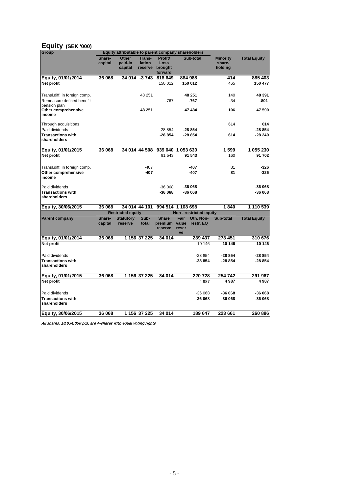#### **Equity (SEK '000)**

| <b>Group</b>                             |                   | Equity attributable to parent company shareholders |                             |                            |             |                         |                                      |                     |
|------------------------------------------|-------------------|----------------------------------------------------|-----------------------------|----------------------------|-------------|-------------------------|--------------------------------------|---------------------|
|                                          | Share-<br>capital | Other<br>paid-in<br>capital                        | Trans-<br>lation<br>reserve | Profit/<br>Loss<br>brought |             | <b>Sub-total</b>        | <b>Minority</b><br>share-<br>holding | <b>Total Equity</b> |
| Equity, 01/01/2014                       | 36 068            | 34 014                                             | $-3743$                     | forward<br>818 649         |             | 884 988                 | 414                                  | 885 403             |
| Net profit                               |                   |                                                    |                             | 150 012                    |             | 150 012                 | 465                                  | 150 477             |
|                                          |                   |                                                    |                             |                            |             |                         |                                      |                     |
| Transl.diff. in foreign comp.            |                   |                                                    | 48 251                      |                            |             | 48 251                  | 140                                  | 48 391              |
| Remeasure defined benefit                |                   |                                                    |                             | $-767$                     |             | $-767$                  | $-34$                                | -801                |
| pension plan                             |                   |                                                    |                             |                            |             |                         |                                      |                     |
| Other comprehensive<br>income            |                   |                                                    | 48 251                      |                            |             | 47484                   | 106                                  | 47 590              |
|                                          |                   |                                                    |                             |                            |             |                         |                                      |                     |
| Through acquisitions                     |                   |                                                    |                             |                            |             |                         | 614                                  | 614                 |
| Paid dividends                           |                   |                                                    |                             | $-28854$                   |             | $-28854$                |                                      | $-28854$            |
| <b>Transactions with</b>                 |                   |                                                    |                             | $-28854$                   |             | -28 854                 | 614                                  | -28 240             |
| shareholders                             |                   |                                                    |                             |                            |             |                         |                                      |                     |
| Equity, 01/01/2015                       | 36 068            |                                                    | 34 014 44 508               | 939 040 1 053 630          |             |                         | 1599                                 | 1 055 230           |
| Net profit                               |                   |                                                    |                             | 91 543                     |             | 91 543                  | 160                                  | 91 702              |
|                                          |                   |                                                    |                             |                            |             |                         |                                      |                     |
| Transl.diff. in foreign comp.            |                   |                                                    | $-407$                      |                            |             | -407                    | 81                                   | $-326$              |
| Other comprehensive                      |                   |                                                    | -407                        |                            |             | -407                    | 81                                   | $-326$              |
| income                                   |                   |                                                    |                             |                            |             |                         |                                      |                     |
| Paid dividends                           |                   |                                                    |                             | $-36068$                   |             | $-36068$                |                                      | -36 068             |
| <b>Transactions with</b><br>shareholders |                   |                                                    |                             | -36 068                    |             | -36 068                 |                                      | -36 068             |
| Equity, 30/06/2015                       | 36 068            |                                                    | 34 014 44 101               | 994 514 1 108 698          |             |                         | 1840                                 | 1 110 539           |
|                                          |                   | <b>Restricted equity</b>                           |                             |                            |             | Non - restricted equity |                                      |                     |
| <b>Parent company</b>                    | Share-            | <b>Statutory</b>                                   | Sub-                        | <b>Share</b>               | Fair        | Oth. Non-               | Sub-total                            | <b>Total Equity</b> |
|                                          | capital           | reserve                                            | total                       | premium value              |             | restr. EQ               |                                      |                     |
|                                          |                   |                                                    |                             | reserve                    | reser<br>ve |                         |                                      |                     |
| Equity, 01/01/2014                       | 36 068            |                                                    | 1 156 37 225                | 34 014                     |             | 239 437                 | 273 451                              | 310 676             |
| Net profit                               |                   |                                                    |                             |                            |             | 10 146                  | 10 146                               | 10 146              |
|                                          |                   |                                                    |                             |                            |             |                         |                                      |                     |
| Paid dividends                           |                   |                                                    |                             |                            |             | $-28854$                | -28 854                              | -28 854             |
| <b>Transactions with</b>                 |                   |                                                    |                             |                            |             | $-28854$                | -28 854                              | $-28854$            |
| shareholders                             |                   |                                                    |                             |                            |             |                         |                                      |                     |
| Equity, 01/01/2015                       | 36 068            |                                                    | 1 156 37 225                | 34 014                     |             | 220728                  | 254 742                              | 291 967             |
| Net profit                               |                   |                                                    |                             |                            |             | 4987                    | 4987                                 | 4987                |
|                                          |                   |                                                    |                             |                            |             |                         |                                      |                     |
| Paid dividends                           |                   |                                                    |                             |                            |             | $-36068$                | -36 068                              | -36 068             |
| <b>Transactions with</b>                 |                   |                                                    |                             |                            |             | $-36068$                | -36 068                              | -36 068             |
| shareholders                             |                   |                                                    |                             |                            |             |                         |                                      |                     |
| Equity, 30/06/2015                       | 36 068            |                                                    | 1 156 37 225                | 34 014                     |             | 189 647                 | 223 661                              | 260 886             |

All shares, 18,034,058 pcs, are A-shares with equal voting rights